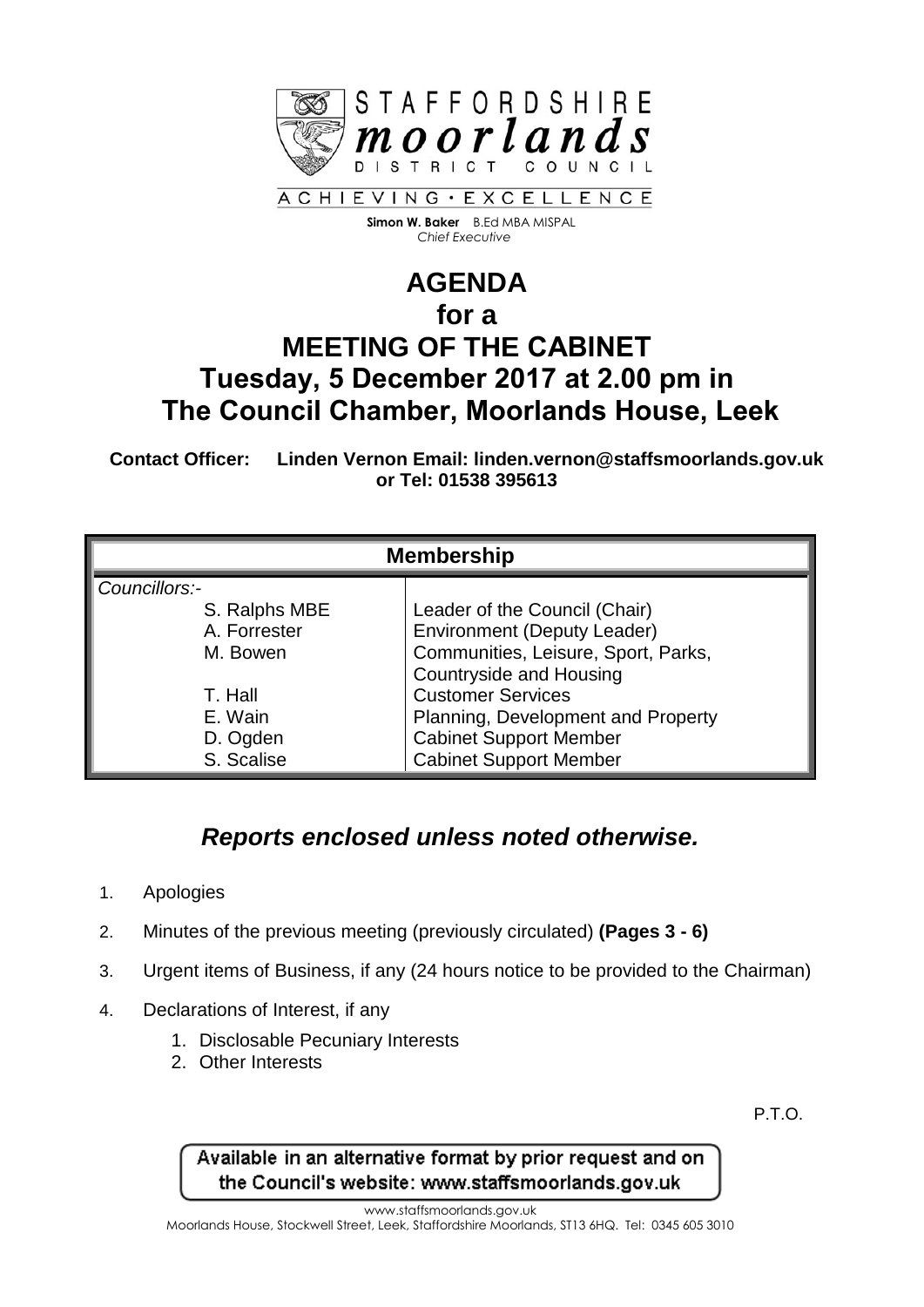

 **Simon W. Baker** B.Ed MBA MISPAL  *Chief Executive*

## **AGENDA for a MEETING OF THE CABINET Tuesday, 5 December 2017 at 2.00 pm in The Council Chamber, Moorlands House, Leek**

**Contact Officer: Linden Vernon Email: linden.vernon@staffsmoorlands.gov.uk or Tel: 01538 395613**

| <b>Membership</b> |                                     |
|-------------------|-------------------------------------|
| Councillors:-     |                                     |
| S. Ralphs MBE     | Leader of the Council (Chair)       |
| A. Forrester      | <b>Environment (Deputy Leader)</b>  |
| M. Bowen          | Communities, Leisure, Sport, Parks, |
|                   | <b>Countryside and Housing</b>      |
| T. Hall           | <b>Customer Services</b>            |
| E. Wain           | Planning, Development and Property  |
| D. Ogden          | <b>Cabinet Support Member</b>       |
| S. Scalise        | <b>Cabinet Support Member</b>       |

## *Reports enclosed unless noted otherwise.*

- 1. Apologies
- 2. Minutes of the previous meeting (previously circulated) **(Pages 3 - 6)**
- 3. Urgent items of Business, if any (24 hours notice to be provided to the Chairman)
- 4. Declarations of Interest, if any
	- 1. Disclosable Pecuniary Interests
	- 2. Other Interests

P.T.O.

Available in an alternative format by prior request and on the Council's website: www.staffsmoorlands.gov.uk

www.staffsmoorlands.gov.uk

Moorlands House, Stockwell Street, Leek, Staffordshire Moorlands, ST13 6HQ. Tel: 0345 605 3010